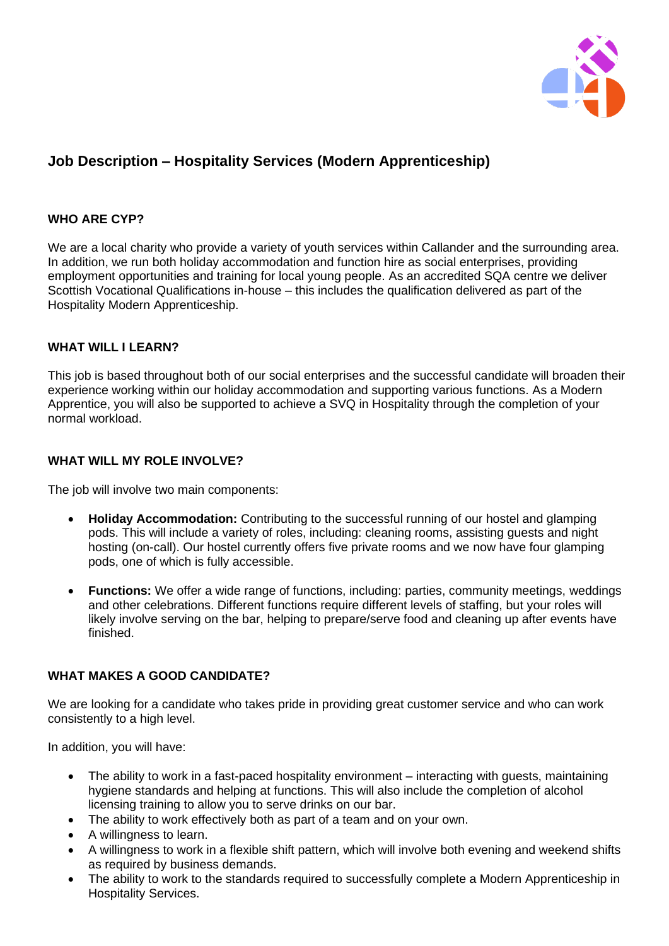

# **Job Description – Hospitality Services (Modern Apprenticeship)**

# **WHO ARE CYP?**

We are a local charity who provide a variety of youth services within Callander and the surrounding area. In addition, we run both holiday accommodation and function hire as social enterprises, providing employment opportunities and training for local young people. As an accredited SQA centre we deliver Scottish Vocational Qualifications in-house – this includes the qualification delivered as part of the Hospitality Modern Apprenticeship.

## **WHAT WILL I LEARN?**

This job is based throughout both of our social enterprises and the successful candidate will broaden their experience working within our holiday accommodation and supporting various functions. As a Modern Apprentice, you will also be supported to achieve a SVQ in Hospitality through the completion of your normal workload.

# **WHAT WILL MY ROLE INVOLVE?**

The job will involve two main components:

- **Holiday Accommodation:** Contributing to the successful running of our hostel and glamping pods. This will include a variety of roles, including: cleaning rooms, assisting guests and night hosting (on-call). Our hostel currently offers five private rooms and we now have four glamping pods, one of which is fully accessible.
- **Functions:** We offer a wide range of functions, including: parties, community meetings, weddings and other celebrations. Different functions require different levels of staffing, but your roles will likely involve serving on the bar, helping to prepare/serve food and cleaning up after events have finished.

# **WHAT MAKES A GOOD CANDIDATE?**

We are looking for a candidate who takes pride in providing great customer service and who can work consistently to a high level.

In addition, you will have:

- The ability to work in a fast-paced hospitality environment interacting with guests, maintaining hygiene standards and helping at functions. This will also include the completion of alcohol licensing training to allow you to serve drinks on our bar.
- The ability to work effectively both as part of a team and on your own.
- A willingness to learn.
- A willingness to work in a flexible shift pattern, which will involve both evening and weekend shifts as required by business demands.
- The ability to work to the standards required to successfully complete a Modern Apprenticeship in Hospitality Services.